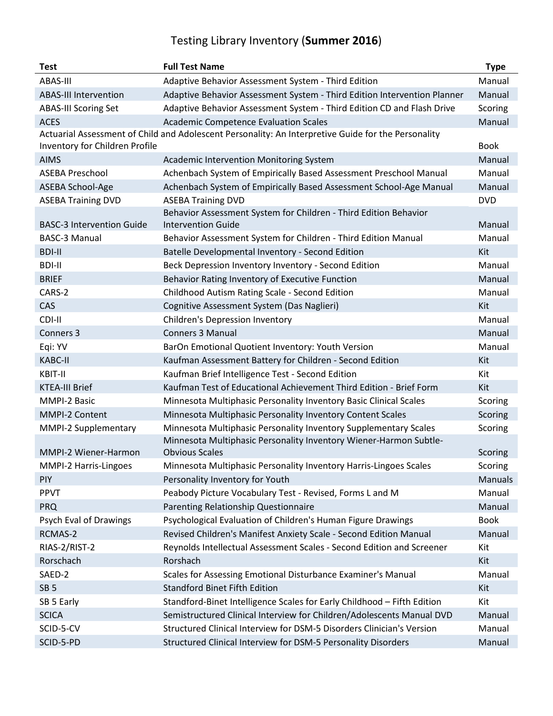## Testing Library Inventory (**Summer 2016**)

| <b>Test</b>                                                                                         | <b>Full Test Name</b>                                                    | <b>Type</b>    |  |
|-----------------------------------------------------------------------------------------------------|--------------------------------------------------------------------------|----------------|--|
| ABAS-III                                                                                            | Adaptive Behavior Assessment System - Third Edition                      | Manual         |  |
| <b>ABAS-III Intervention</b>                                                                        | Adaptive Behavior Assessment System - Third Edition Intervention Planner | Manual         |  |
| <b>ABAS-III Scoring Set</b>                                                                         | Adaptive Behavior Assessment System - Third Edition CD and Flash Drive   | Scoring        |  |
| <b>ACES</b>                                                                                         | <b>Academic Competence Evaluation Scales</b>                             | Manual         |  |
| Actuarial Assessment of Child and Adolescent Personality: An Interpretive Guide for the Personality |                                                                          |                |  |
| Inventory for Children Profile                                                                      |                                                                          | <b>Book</b>    |  |
| <b>AIMS</b>                                                                                         | <b>Academic Intervention Monitoring System</b>                           | Manual         |  |
| <b>ASEBA Preschool</b>                                                                              | Achenbach System of Empirically Based Assessment Preschool Manual        | Manual         |  |
| ASEBA School-Age                                                                                    | Achenbach System of Empirically Based Assessment School-Age Manual       | Manual         |  |
| <b>ASEBA Training DVD</b>                                                                           | <b>ASEBA Training DVD</b>                                                | <b>DVD</b>     |  |
|                                                                                                     | Behavior Assessment System for Children - Third Edition Behavior         |                |  |
| <b>BASC-3 Intervention Guide</b>                                                                    | <b>Intervention Guide</b>                                                | Manual         |  |
| <b>BASC-3 Manual</b>                                                                                | Behavior Assessment System for Children - Third Edition Manual           | Manual         |  |
| <b>BDI-II</b>                                                                                       | Batelle Developmental Inventory - Second Edition                         | Kit            |  |
| <b>BDI-II</b>                                                                                       | Beck Depression Inventory Inventory - Second Edition                     | Manual         |  |
| <b>BRIEF</b>                                                                                        | Behavior Rating Inventory of Executive Function                          | Manual         |  |
| CARS-2                                                                                              | Childhood Autism Rating Scale - Second Edition                           | Manual         |  |
| CAS                                                                                                 | Cognitive Assessment System (Das Naglieri)                               | Kit            |  |
| CDI-II                                                                                              | <b>Children's Depression Inventory</b>                                   | Manual         |  |
| Conners 3                                                                                           | <b>Conners 3 Manual</b>                                                  | Manual         |  |
| Eqi: YV                                                                                             | BarOn Emotional Quotient Inventory: Youth Version                        | Manual         |  |
| <b>KABC-II</b>                                                                                      | Kaufman Assessment Battery for Children - Second Edition                 | Kit            |  |
| KBIT-II                                                                                             | Kaufman Brief Intelligence Test - Second Edition                         | Kit            |  |
| <b>KTEA-III Brief</b>                                                                               | Kaufman Test of Educational Achievement Third Edition - Brief Form       | Kit            |  |
| MMPI-2 Basic                                                                                        | Minnesota Multiphasic Personality Inventory Basic Clinical Scales        | Scoring        |  |
| MMPI-2 Content                                                                                      | Minnesota Multiphasic Personality Inventory Content Scales               | Scoring        |  |
| MMPI-2 Supplementary                                                                                | Minnesota Multiphasic Personality Inventory Supplementary Scales         | Scoring        |  |
|                                                                                                     | Minnesota Multiphasic Personality Inventory Wiener-Harmon Subtle-        |                |  |
| MMPI-2 Wiener-Harmon                                                                                | <b>Obvious Scales</b>                                                    | Scoring        |  |
| MMPI-2 Harris-Lingoes                                                                               | Minnesota Multiphasic Personality Inventory Harris-Lingoes Scales        | Scoring        |  |
| <b>PIY</b>                                                                                          | Personality Inventory for Youth                                          | <b>Manuals</b> |  |
| <b>PPVT</b>                                                                                         | Peabody Picture Vocabulary Test - Revised, Forms L and M                 | Manual         |  |
| <b>PRQ</b>                                                                                          | Parenting Relationship Questionnaire                                     | Manual         |  |
| Psych Eval of Drawings                                                                              | Psychological Evaluation of Children's Human Figure Drawings             | <b>Book</b>    |  |
| RCMAS-2                                                                                             | Revised Children's Manifest Anxiety Scale - Second Edition Manual        | Manual         |  |
| RIAS-2/RIST-2                                                                                       | Reynolds Intellectual Assessment Scales - Second Edition and Screener    | Kit            |  |
| Rorschach                                                                                           | Rorshach                                                                 | Kit            |  |
| SAED-2                                                                                              | Scales for Assessing Emotional Disturbance Examiner's Manual             | Manual         |  |
| SB <sub>5</sub>                                                                                     | <b>Standford Binet Fifth Edition</b>                                     | Kit            |  |
| SB 5 Early                                                                                          | Standford-Binet Intelligence Scales for Early Childhood - Fifth Edition  | Kit            |  |
| <b>SCICA</b>                                                                                        | Semistructured Clinical Interview for Children/Adolescents Manual DVD    | Manual         |  |
| SCID-5-CV                                                                                           | Structured Clinical Interview for DSM-5 Disorders Clinician's Version    | Manual         |  |
| SCID-5-PD                                                                                           | Structured Clinical Interview for DSM-5 Personality Disorders            | Manual         |  |